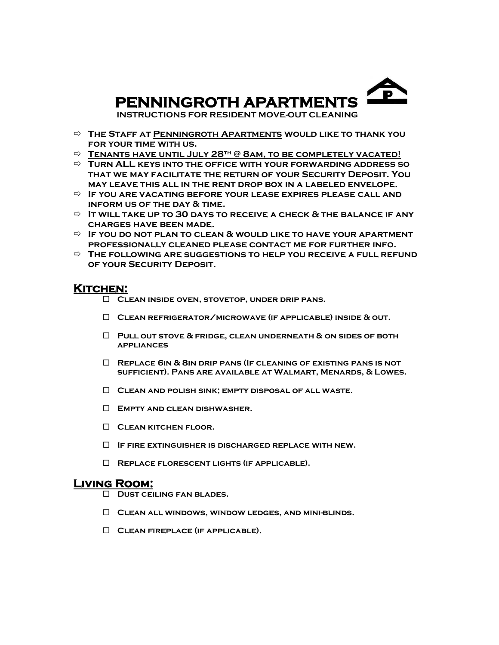

 **INSTRUCTIONS FOR RESIDENT MOVE-OUT CLEANING**

- **The Staff at Penningroth Apartments would like to thank you for your time with us.**
- **Tenants have until July 28th @ 8am, to be completely vacated!**
- **Turn ALL keys into the office with your forwarding address so that we may facilitate the return of your Security Deposit. You may leave this all in the rent drop box in a labeled envelope.**
- **If you are vacating before your lease expires please call and inform us of the day & time.**
- **It will take up to 30 days to receive a check & the balance if any charges have been made.**
- **If you do not plan to clean & would like to have your apartment professionally cleaned please contact me for further info.**
- **The following are suggestions to help you receive a full refund of your Security Deposit.**

## **Kitchen:**

- **Clean inside oven, stovetop, under drip pans.**
- **Clean refrigerator/microwave (if applicable) inside & out.**
- **Pull out stove & fridge, clean underneath & on sides of both appliances**
- **Replace 6in & 8in drip pans (If cleaning of existing pans is not sufficient). Pans are available at Walmart, Menards, & Lowes.**
- **Clean and polish sink; empty disposal of all waste.**
- **Empty and clean dishwasher.**
- **Clean kitchen floor.**
- **If fire extinguisher is discharged replace with new.**
- **Replace florescent lights (if applicable).**

#### **Living Room:**

- **Dust ceiling fan blades.**
- **Clean all windows, window ledges, and mini-blinds.**
- **Clean fireplace (if applicable).**